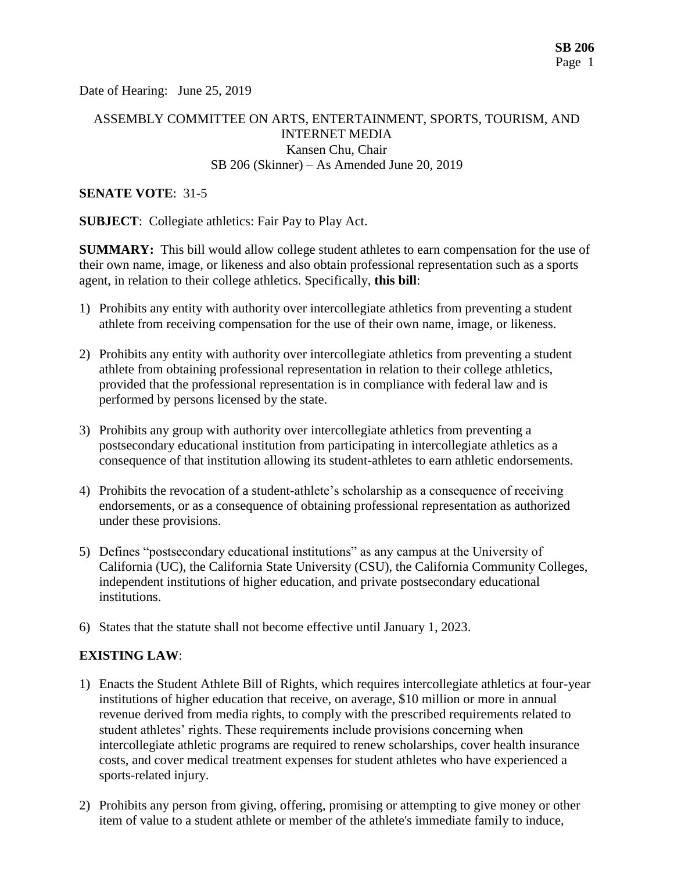Date of Hearing: June 25, 2019

## ASSEMBLY COMMITTEE ON ARTS, ENTERTAINMENT, SPORTS, TOURISM, AND INTERNET MEDIA Kansen Chu, Chair SB 206 (Skinner) – As Amended June 20, 2019

#### **SENATE VOTE**: 31-5

**SUBJECT**: Collegiate athletics: Fair Pay to Play Act.

**SUMMARY:** This bill would allow college student athletes to earn compensation for the use of their own name, image, or likeness and also obtain professional representation such as a sports agent, in relation to their college athletics. Specifically, **this bill**:

- 1) Prohibits any entity with authority over intercollegiate athletics from preventing a student athlete from receiving compensation for the use of their own name, image, or likeness.
- 2) Prohibits any entity with authority over intercollegiate athletics from preventing a student athlete from obtaining professional representation in relation to their college athletics, provided that the professional representation is in compliance with federal law and is performed by persons licensed by the state.
- 3) Prohibits any group with authority over intercollegiate athletics from preventing a postsecondary educational institution from participating in intercollegiate athletics as a consequence of that institution allowing its student-athletes to earn athletic endorsements.
- 4) Prohibits the revocation of a student-athlete's scholarship as a consequence of receiving endorsements, or as a consequence of obtaining professional representation as authorized under these provisions.
- 5) Defines "postsecondary educational institutions" as any campus at the University of California (UC), the California State University (CSU), the California Community Colleges, independent institutions of higher education, and private postsecondary educational institutions.
- 6) States that the statute shall not become effective until January 1, 2023.

### **EXISTING LAW**:

- 1) Enacts the Student Athlete Bill of Rights, which requires intercollegiate athletics at four-year institutions of higher education that receive, on average, \$10 million or more in annual revenue derived from media rights, to comply with the prescribed requirements related to student athletes' rights. These requirements include provisions concerning when intercollegiate athletic programs are required to renew scholarships, cover health insurance costs, and cover medical treatment expenses for student athletes who have experienced a sports-related injury.
- 2) Prohibits any person from giving, offering, promising or attempting to give money or other item of value to a student athlete or member of the athlete's immediate family to induce,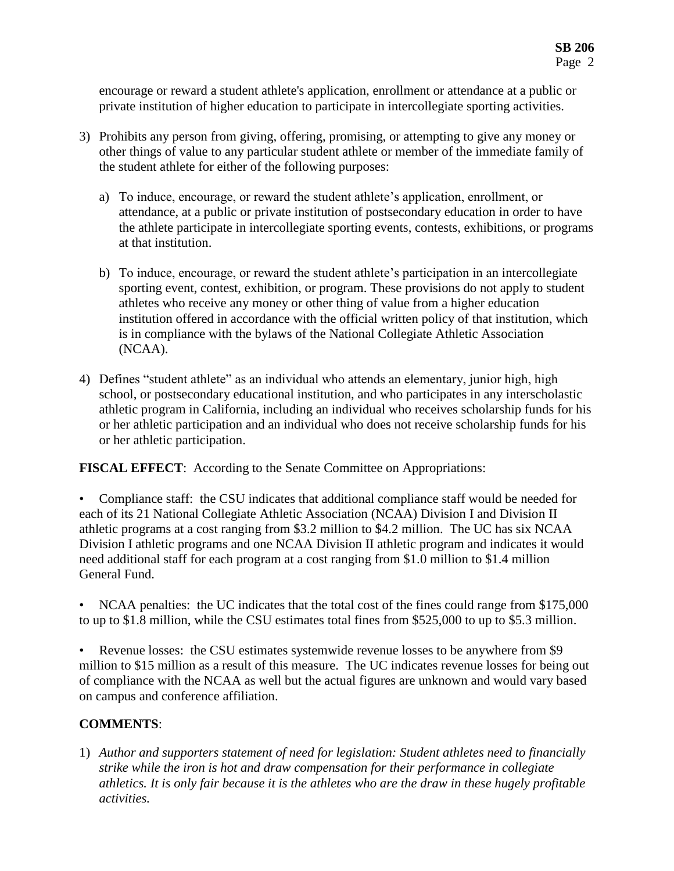encourage or reward a student athlete's application, enrollment or attendance at a public or private institution of higher education to participate in intercollegiate sporting activities.

- 3) Prohibits any person from giving, offering, promising, or attempting to give any money or other things of value to any particular student athlete or member of the immediate family of the student athlete for either of the following purposes:
	- a) To induce, encourage, or reward the student athlete's application, enrollment, or attendance, at a public or private institution of postsecondary education in order to have the athlete participate in intercollegiate sporting events, contests, exhibitions, or programs at that institution.
	- b) To induce, encourage, or reward the student athlete's participation in an intercollegiate sporting event, contest, exhibition, or program. These provisions do not apply to student athletes who receive any money or other thing of value from a higher education institution offered in accordance with the official written policy of that institution, which is in compliance with the bylaws of the National Collegiate Athletic Association (NCAA).
- 4) Defines "student athlete" as an individual who attends an elementary, junior high, high school, or postsecondary educational institution, and who participates in any interscholastic athletic program in California, including an individual who receives scholarship funds for his or her athletic participation and an individual who does not receive scholarship funds for his or her athletic participation.

**FISCAL EFFECT**: According to the Senate Committee on Appropriations:

- Compliance staff: the CSU indicates that additional compliance staff would be needed for each of its 21 National Collegiate Athletic Association (NCAA) Division I and Division II athletic programs at a cost ranging from \$3.2 million to \$4.2 million. The UC has six NCAA Division I athletic programs and one NCAA Division II athletic program and indicates it would need additional staff for each program at a cost ranging from \$1.0 million to \$1.4 million General Fund.
- NCAA penalties: the UC indicates that the total cost of the fines could range from \$175,000 to up to \$1.8 million, while the CSU estimates total fines from \$525,000 to up to \$5.3 million.
- Revenue losses: the CSU estimates systemwide revenue losses to be anywhere from \$9 million to \$15 million as a result of this measure. The UC indicates revenue losses for being out of compliance with the NCAA as well but the actual figures are unknown and would vary based on campus and conference affiliation.

# **COMMENTS**:

1) *Author and supporters statement of need for legislation: Student athletes need to financially strike while the iron is hot and draw compensation for their performance in collegiate athletics. It is only fair because it is the athletes who are the draw in these hugely profitable activities.*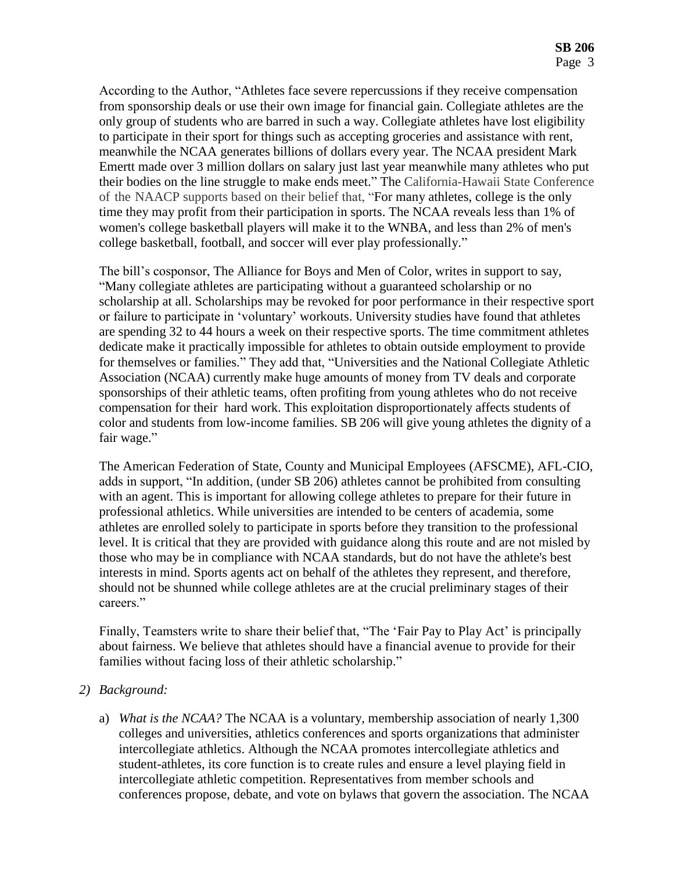According to the Author, "Athletes face severe repercussions if they receive compensation from sponsorship deals or use their own image for financial gain. Collegiate athletes are the only group of students who are barred in such a way. Collegiate athletes have lost eligibility to participate in their sport for things such as accepting groceries and assistance with rent, meanwhile the NCAA generates billions of dollars every year. The NCAA president Mark Emertt made over 3 million dollars on salary just last year meanwhile many athletes who put their bodies on the line struggle to make ends meet." The California-Hawaii State Conference of the NAACP supports based on their belief that, "For many athletes, college is the only time they may profit from their participation in sports. The NCAA reveals less than 1% of women's college basketball players will make it to the WNBA, and less than 2% of men's college basketball, football, and soccer will ever play professionally."

The bill's cosponsor, The Alliance for Boys and Men of Color, writes in support to say, "Many collegiate athletes are participating without a guaranteed scholarship or no scholarship at all. Scholarships may be revoked for poor performance in their respective sport or failure to participate in 'voluntary' workouts. University studies have found that athletes are spending 32 to 44 hours a week on their respective sports. The time commitment athletes dedicate make it practically impossible for athletes to obtain outside employment to provide for themselves or families." They add that, "Universities and the National Collegiate Athletic Association (NCAA) currently make huge amounts of money from TV deals and corporate sponsorships of their athletic teams, often profiting from young athletes who do not receive compensation for their hard work. This exploitation disproportionately affects students of color and students from low-income families. SB 206 will give young athletes the dignity of a fair wage."

The American Federation of State, County and Municipal Employees (AFSCME), AFL-CIO, adds in support, "In addition, (under SB 206) athletes cannot be prohibited from consulting with an agent. This is important for allowing college athletes to prepare for their future in professional athletics. While universities are intended to be centers of academia, some athletes are enrolled solely to participate in sports before they transition to the professional level. It is critical that they are provided with guidance along this route and are not misled by those who may be in compliance with NCAA standards, but do not have the athlete's best interests in mind. Sports agents act on behalf of the athletes they represent, and therefore, should not be shunned while college athletes are at the crucial preliminary stages of their careers."

Finally, Teamsters write to share their belief that, "The 'Fair Pay to Play Act' is principally about fairness. We believe that athletes should have a financial avenue to provide for their families without facing loss of their athletic scholarship."

### *2) Background:*

a) *What is the NCAA?* The NCAA is a voluntary, membership association of nearly 1,300 colleges and universities, athletics conferences and sports organizations that administer intercollegiate athletics. Although the NCAA promotes intercollegiate athletics and student-athletes, its core function is to create rules and ensure a level playing field in intercollegiate athletic competition. Representatives from member schools and conferences propose, debate, and vote on bylaws that govern the association. The NCAA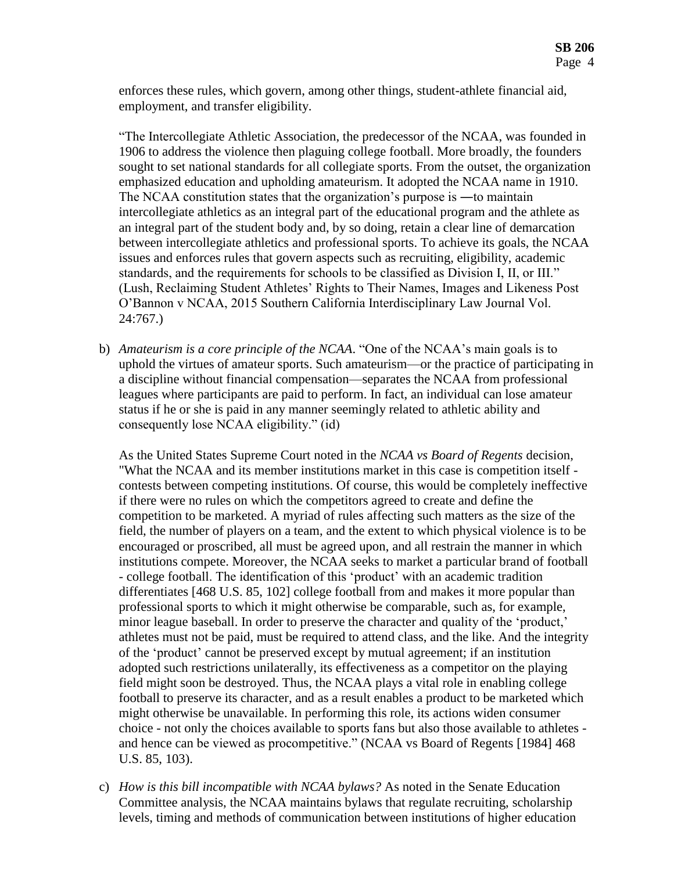enforces these rules, which govern, among other things, student-athlete financial aid, employment, and transfer eligibility.

"The Intercollegiate Athletic Association, the predecessor of the NCAA, was founded in 1906 to address the violence then plaguing college football. More broadly, the founders sought to set national standards for all collegiate sports. From the outset, the organization emphasized education and upholding amateurism. It adopted the NCAA name in 1910. The NCAA constitution states that the organization's purpose is —to maintain intercollegiate athletics as an integral part of the educational program and the athlete as an integral part of the student body and, by so doing, retain a clear line of demarcation between intercollegiate athletics and professional sports. To achieve its goals, the NCAA issues and enforces rules that govern aspects such as recruiting, eligibility, academic standards, and the requirements for schools to be classified as Division I, II, or III." (Lush, Reclaiming Student Athletes' Rights to Their Names, Images and Likeness Post O'Bannon v NCAA, 2015 Southern California Interdisciplinary Law Journal Vol. 24:767.)

b) *Amateurism is a core principle of the NCAA*. "One of the NCAA's main goals is to uphold the virtues of amateur sports. Such amateurism—or the practice of participating in a discipline without financial compensation—separates the NCAA from professional leagues where participants are paid to perform. In fact, an individual can lose amateur status if he or she is paid in any manner seemingly related to athletic ability and consequently lose NCAA eligibility." (id)

As the United States Supreme Court noted in the *NCAA vs Board of Regents* decision, "What the NCAA and its member institutions market in this case is competition itself contests between competing institutions. Of course, this would be completely ineffective if there were no rules on which the competitors agreed to create and define the competition to be marketed. A myriad of rules affecting such matters as the size of the field, the number of players on a team, and the extent to which physical violence is to be encouraged or proscribed, all must be agreed upon, and all restrain the manner in which institutions compete. Moreover, the NCAA seeks to market a particular brand of football - college football. The identification of this 'product' with an academic tradition differentiates [468 U.S. 85, 102] college football from and makes it more popular than professional sports to which it might otherwise be comparable, such as, for example, minor league baseball. In order to preserve the character and quality of the 'product,' athletes must not be paid, must be required to attend class, and the like. And the integrity of the 'product' cannot be preserved except by mutual agreement; if an institution adopted such restrictions unilaterally, its effectiveness as a competitor on the playing field might soon be destroyed. Thus, the NCAA plays a vital role in enabling college football to preserve its character, and as a result enables a product to be marketed which might otherwise be unavailable. In performing this role, its actions widen consumer choice - not only the choices available to sports fans but also those available to athletes and hence can be viewed as procompetitive." (NCAA vs Board of Regents [1984] 468 U.S. 85, 103).

c) *How is this bill incompatible with NCAA bylaws?* As noted in the Senate Education Committee analysis, the NCAA maintains bylaws that regulate recruiting, scholarship levels, timing and methods of communication between institutions of higher education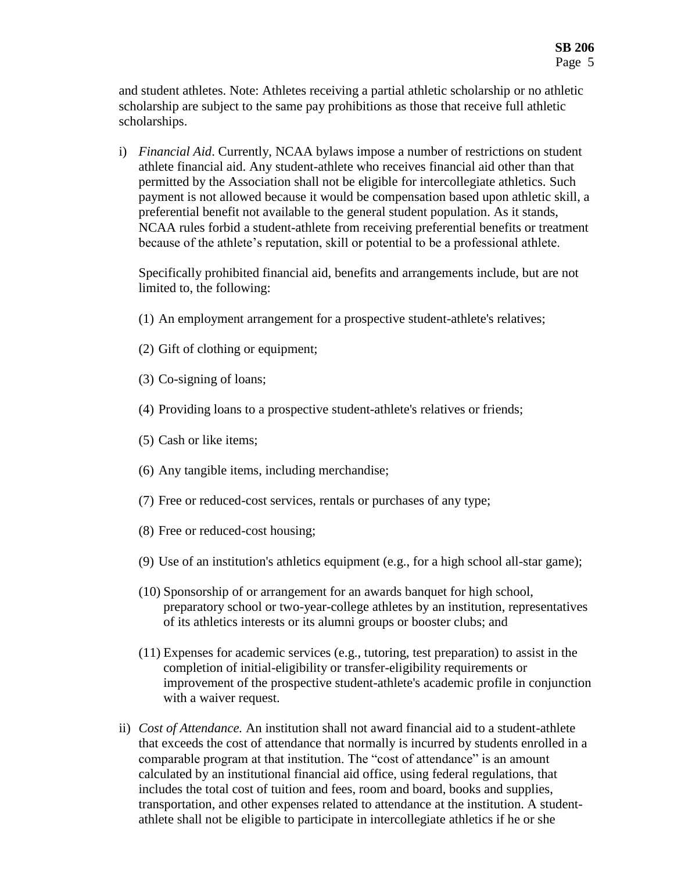and student athletes. Note: Athletes receiving a partial athletic scholarship or no athletic scholarship are subject to the same pay prohibitions as those that receive full athletic scholarships.

i) *Financial Aid*. Currently, NCAA bylaws impose a number of restrictions on student athlete financial aid. Any student-athlete who receives financial aid other than that permitted by the Association shall not be eligible for intercollegiate athletics. Such payment is not allowed because it would be compensation based upon athletic skill, a preferential benefit not available to the general student population. As it stands, NCAA rules forbid a student-athlete from receiving preferential benefits or treatment because of the athlete's reputation, skill or potential to be a professional athlete.

Specifically prohibited financial aid, benefits and arrangements include, but are not limited to, the following:

- (1) An employment arrangement for a prospective student-athlete's relatives;
- (2) Gift of clothing or equipment;
- (3) Co-signing of loans;
- (4) Providing loans to a prospective student-athlete's relatives or friends;
- (5) Cash or like items;
- (6) Any tangible items, including merchandise;
- (7) Free or reduced-cost services, rentals or purchases of any type;
- (8) Free or reduced-cost housing;
- (9) Use of an institution's athletics equipment (e.g., for a high school all-star game);
- (10) Sponsorship of or arrangement for an awards banquet for high school, preparatory school or two-year-college athletes by an institution, representatives of its athletics interests or its alumni groups or booster clubs; and
- (11) Expenses for academic services (e.g., tutoring, test preparation) to assist in the completion of initial-eligibility or transfer-eligibility requirements or improvement of the prospective student-athlete's academic profile in conjunction with a waiver request.
- ii) *Cost of Attendance.* An institution shall not award financial aid to a student-athlete that exceeds the cost of attendance that normally is incurred by students enrolled in a comparable program at that institution. The "cost of attendance" is an amount calculated by an institutional financial aid office, using federal regulations, that includes the total cost of tuition and fees, room and board, books and supplies, transportation, and other expenses related to attendance at the institution. A studentathlete shall not be eligible to participate in intercollegiate athletics if he or she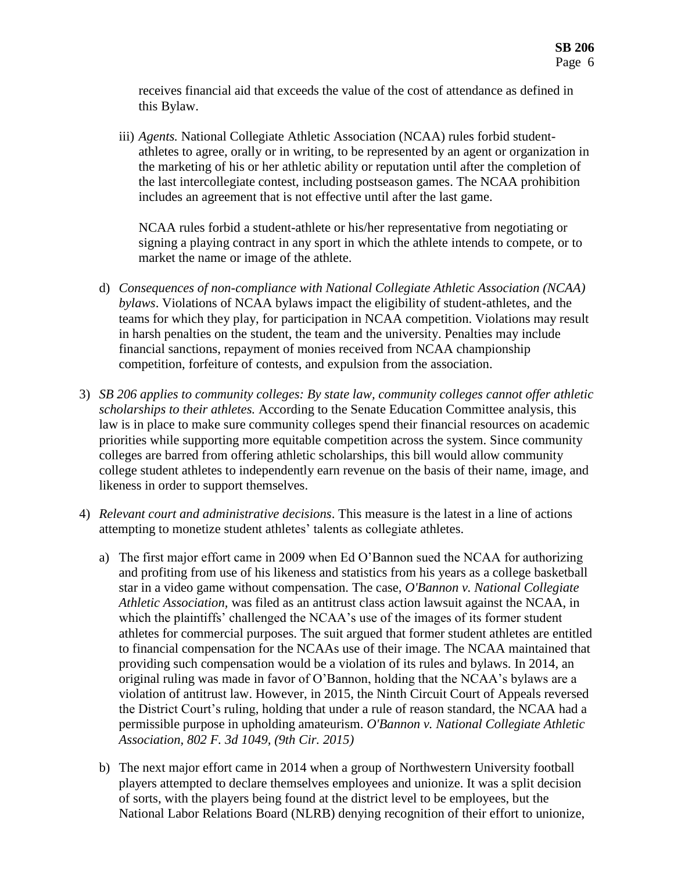receives financial aid that exceeds the value of the cost of attendance as defined in this Bylaw.

iii) *Agents.* National Collegiate Athletic Association (NCAA) rules forbid studentathletes to agree, orally or in writing, to be represented by an agent or organization in the marketing of his or her athletic ability or reputation until after the completion of the last intercollegiate contest, including postseason games. The NCAA prohibition includes an agreement that is not effective until after the last game.

NCAA rules forbid a student-athlete or his/her representative from negotiating or signing a playing contract in any sport in which the athlete intends to compete, or to market the name or image of the athlete.

- d) *Consequences of non-compliance with National Collegiate Athletic Association (NCAA) bylaws*. Violations of NCAA bylaws impact the eligibility of student-athletes, and the teams for which they play, for participation in NCAA competition. Violations may result in harsh penalties on the student, the team and the university. Penalties may include financial sanctions, repayment of monies received from NCAA championship competition, forfeiture of contests, and expulsion from the association.
- 3) *SB 206 applies to community colleges: By state law, community colleges cannot offer athletic scholarships to their athletes.* According to the Senate Education Committee analysis, this law is in place to make sure community colleges spend their financial resources on academic priorities while supporting more equitable competition across the system. Since community colleges are barred from offering athletic scholarships, this bill would allow community college student athletes to independently earn revenue on the basis of their name, image, and likeness in order to support themselves.
- 4) *Relevant court and administrative decisions*. This measure is the latest in a line of actions attempting to monetize student athletes' talents as collegiate athletes.
	- a) The first major effort came in 2009 when Ed O'Bannon sued the NCAA for authorizing and profiting from use of his likeness and statistics from his years as a college basketball star in a video game without compensation. The case, *O'Bannon v. National Collegiate Athletic Association,* was filed as an antitrust class action lawsuit against the NCAA, in which the plaintiffs' challenged the NCAA's use of the images of its former student athletes for commercial purposes. The suit argued that former student athletes are entitled to financial compensation for the NCAAs use of their image. The NCAA maintained that providing such compensation would be a violation of its rules and bylaws. In 2014, an original ruling was made in favor of O'Bannon, holding that the NCAA's bylaws are a violation of antitrust law. However, in 2015, the Ninth Circuit Court of Appeals reversed the District Court's ruling, holding that under a rule of reason standard, the NCAA had a permissible purpose in upholding amateurism. *O'Bannon v. National Collegiate Athletic Association, 802 F. 3d 1049, (9th Cir. 2015)*
	- b) The next major effort came in 2014 when a group of Northwestern University football players attempted to declare themselves employees and unionize. It was a split decision of sorts, with the players being found at the district level to be employees, but the National Labor Relations Board (NLRB) denying recognition of their effort to unionize,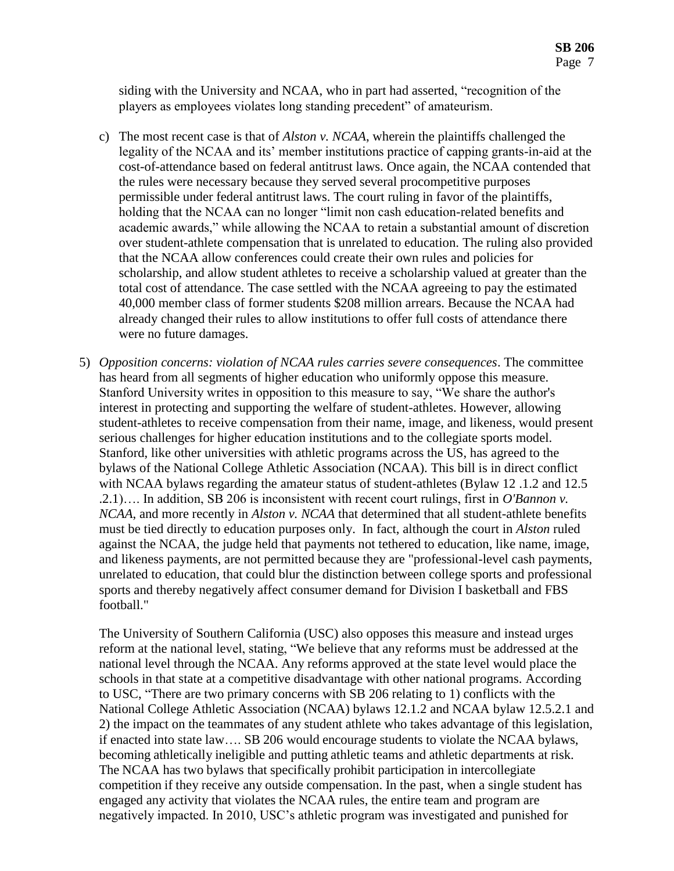siding with the University and NCAA, who in part had asserted, "recognition of the players as employees violates long standing precedent" of amateurism.

- c) The most recent case is that of *Alston v. NCAA*, wherein the plaintiffs challenged the legality of the NCAA and its' member institutions practice of capping grants-in-aid at the cost-of-attendance based on federal antitrust laws. Once again, the NCAA contended that the rules were necessary because they served several procompetitive purposes permissible under federal antitrust laws. The court ruling in favor of the plaintiffs, holding that the NCAA can no longer "limit non cash education-related benefits and academic awards," while allowing the NCAA to retain a substantial amount of discretion over student-athlete compensation that is unrelated to education. The ruling also provided that the NCAA allow conferences could create their own rules and policies for scholarship, and allow student athletes to receive a scholarship valued at greater than the total cost of attendance. The case settled with the NCAA agreeing to pay the estimated 40,000 member class of former students \$208 million arrears. Because the NCAA had already changed their rules to allow institutions to offer full costs of attendance there were no future damages.
- 5) *Opposition concerns: violation of NCAA rules carries severe consequences*. The committee has heard from all segments of higher education who uniformly oppose this measure. Stanford University writes in opposition to this measure to say, "We share the author's interest in protecting and supporting the welfare of student-athletes. However, allowing student-athletes to receive compensation from their name, image, and likeness, would present serious challenges for higher education institutions and to the collegiate sports model. Stanford, like other universities with athletic programs across the US, has agreed to the bylaws of the National College Athletic Association (NCAA). This bill is in direct conflict with NCAA bylaws regarding the amateur status of student-athletes (Bylaw 12 .1.2 and 12.5 .2.1)…. In addition, SB 206 is inconsistent with recent court rulings, first in *O'Bannon v. NCAA*, and more recently in *Alston v. NCAA* that determined that all student-athlete benefits must be tied directly to education purposes only. In fact, although the court in *Alston* ruled against the NCAA, the judge held that payments not tethered to education, like name, image, and likeness payments, are not permitted because they are "professional-level cash payments, unrelated to education, that could blur the distinction between college sports and professional sports and thereby negatively affect consumer demand for Division I basketball and FBS football."

The University of Southern California (USC) also opposes this measure and instead urges reform at the national level, stating, "We believe that any reforms must be addressed at the national level through the NCAA. Any reforms approved at the state level would place the schools in that state at a competitive disadvantage with other national programs. According to USC, "There are two primary concerns with SB 206 relating to 1) conflicts with the National College Athletic Association (NCAA) bylaws 12.1.2 and NCAA bylaw 12.5.2.1 and 2) the impact on the teammates of any student athlete who takes advantage of this legislation, if enacted into state law…. SB 206 would encourage students to violate the NCAA bylaws, becoming athletically ineligible and putting athletic teams and athletic departments at risk. The NCAA has two bylaws that specifically prohibit participation in intercollegiate competition if they receive any outside compensation. In the past, when a single student has engaged any activity that violates the NCAA rules, the entire team and program are negatively impacted. In 2010, USC's athletic program was investigated and punished for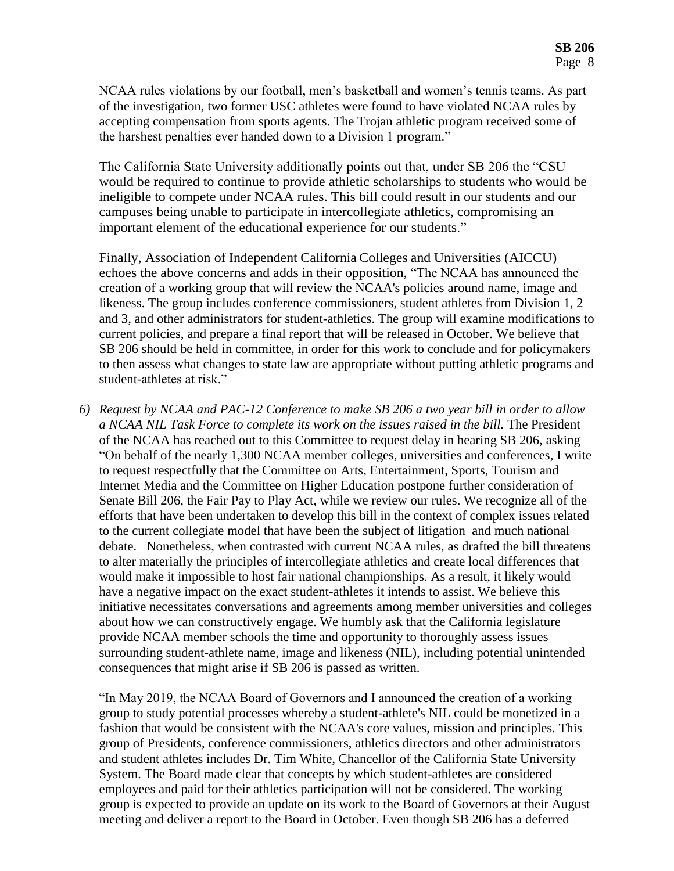NCAA rules violations by our football, men's basketball and women's tennis teams. As part of the investigation, two former USC athletes were found to have violated NCAA rules by accepting compensation from sports agents. The Trojan athletic program received some of the harshest penalties ever handed down to a Division 1 program."

The California State University additionally points out that, under SB 206 the "CSU would be required to continue to provide athletic scholarships to students who would be ineligible to compete under NCAA rules. This bill could result in our students and our campuses being unable to participate in intercollegiate athletics, compromising an important element of the educational experience for our students."

Finally, Association of Independent California Colleges and Universities (AICCU) echoes the above concerns and adds in their opposition, "The NCAA has announced the creation of a working group that will review the NCAA's policies around name, image and likeness. The group includes conference commissioners, student athletes from Division 1, 2 and 3, and other administrators for student-athletics. The group will examine modifications to current policies, and prepare a final report that will be released in October. We believe that SB 206 should be held in committee, in order for this work to conclude and for policymakers to then assess what changes to state law are appropriate without putting athletic programs and student-athletes at risk."

*6) Request by NCAA and PAC-12 Conference to make SB 206 a two year bill in order to allow a NCAA NIL Task Force to complete its work on the issues raised in the bill.* The President of the NCAA has reached out to this Committee to request delay in hearing SB 206, asking "On behalf of the nearly 1,300 NCAA member colleges, universities and conferences, I write to request respectfully that the Committee on Arts, Entertainment, Sports, Tourism and Internet Media and the Committee on Higher Education postpone further consideration of Senate Bill 206, the Fair Pay to Play Act, while we review our rules. We recognize all of the efforts that have been undertaken to develop this bill in the context of complex issues related to the current collegiate model that have been the subject of litigation and much national debate. Nonetheless, when contrasted with current NCAA rules, as drafted the bill threatens to alter materially the principles of intercollegiate athletics and create local differences that would make it impossible to host fair national championships. As a result, it likely would have a negative impact on the exact student-athletes it intends to assist. We believe this initiative necessitates conversations and agreements among member universities and colleges about how we can constructively engage. We humbly ask that the California legislature provide NCAA member schools the time and opportunity to thoroughly assess issues surrounding student-athlete name, image and likeness (NIL), including potential unintended consequences that might arise if SB 206 is passed as written.

"In May 2019, the NCAA Board of Governors and I announced the creation of a working group to study potential processes whereby a student-athlete's NIL could be monetized in a fashion that would be consistent with the NCAA's core values, mission and principles. This group of Presidents, conference commissioners, athletics directors and other administrators and student athletes includes Dr. Tim White, Chancellor of the California State University System. The Board made clear that concepts by which student-athletes are considered employees and paid for their athletics participation will not be considered. The working group is expected to provide an update on its work to the Board of Governors at their August meeting and deliver a report to the Board in October. Even though SB 206 has a deferred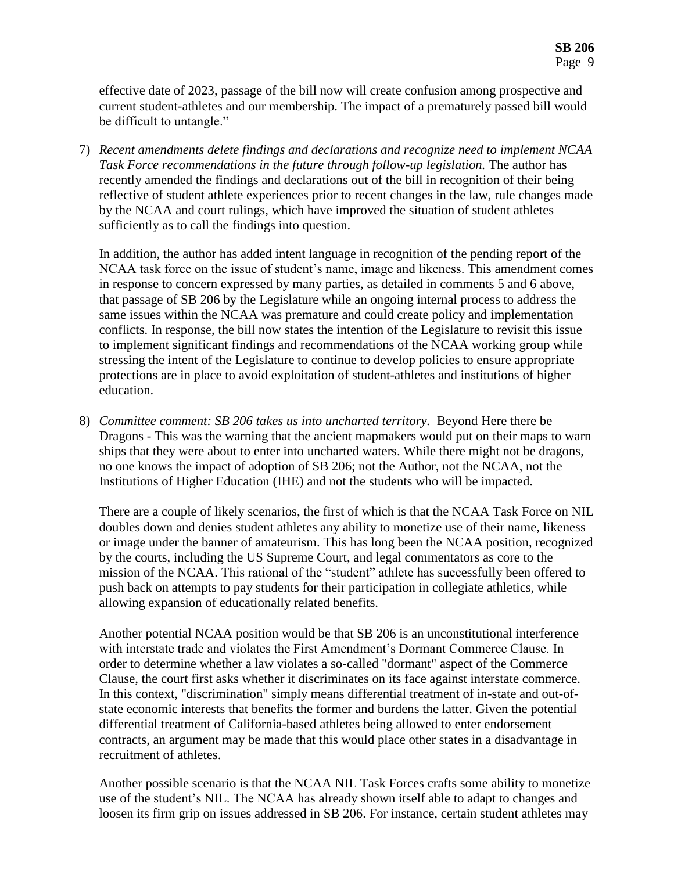effective date of 2023, passage of the bill now will create confusion among prospective and current student-athletes and our membership. The impact of a prematurely passed bill would be difficult to untangle."

7) *Recent amendments delete findings and declarations and recognize need to implement NCAA Task Force recommendations in the future through follow-up legislation.* The author has recently amended the findings and declarations out of the bill in recognition of their being reflective of student athlete experiences prior to recent changes in the law, rule changes made by the NCAA and court rulings, which have improved the situation of student athletes sufficiently as to call the findings into question.

In addition, the author has added intent language in recognition of the pending report of the NCAA task force on the issue of student's name, image and likeness. This amendment comes in response to concern expressed by many parties, as detailed in comments 5 and 6 above, that passage of SB 206 by the Legislature while an ongoing internal process to address the same issues within the NCAA was premature and could create policy and implementation conflicts. In response, the bill now states the intention of the Legislature to revisit this issue to implement significant findings and recommendations of the NCAA working group while stressing the intent of the Legislature to continue to develop policies to ensure appropriate protections are in place to avoid exploitation of student-athletes and institutions of higher education.

8) *Committee comment: SB 206 takes us into uncharted territory.* Beyond Here there be Dragons - This was the warning that the ancient mapmakers would put on their maps to warn ships that they were about to enter into uncharted waters. While there might not be dragons, no one knows the impact of adoption of SB 206; not the Author, not the NCAA, not the Institutions of Higher Education (IHE) and not the students who will be impacted.

There are a couple of likely scenarios, the first of which is that the NCAA Task Force on NIL doubles down and denies student athletes any ability to monetize use of their name, likeness or image under the banner of amateurism. This has long been the NCAA position, recognized by the courts, including the US Supreme Court, and legal commentators as core to the mission of the NCAA. This rational of the "student" athlete has successfully been offered to push back on attempts to pay students for their participation in collegiate athletics, while allowing expansion of educationally related benefits.

Another potential NCAA position would be that SB 206 is an unconstitutional interference with interstate trade and violates the First Amendment's Dormant Commerce Clause. In order to determine whether a law violates a so-called "dormant" aspect of the Commerce Clause, the court first asks whether it discriminates on its face against interstate commerce. In this context, "discrimination" simply means differential treatment of in-state and out-ofstate economic interests that benefits the former and burdens the latter. Given the potential differential treatment of California-based athletes being allowed to enter endorsement contracts, an argument may be made that this would place other states in a disadvantage in recruitment of athletes.

Another possible scenario is that the NCAA NIL Task Forces crafts some ability to monetize use of the student's NIL. The NCAA has already shown itself able to adapt to changes and loosen its firm grip on issues addressed in SB 206. For instance, certain student athletes may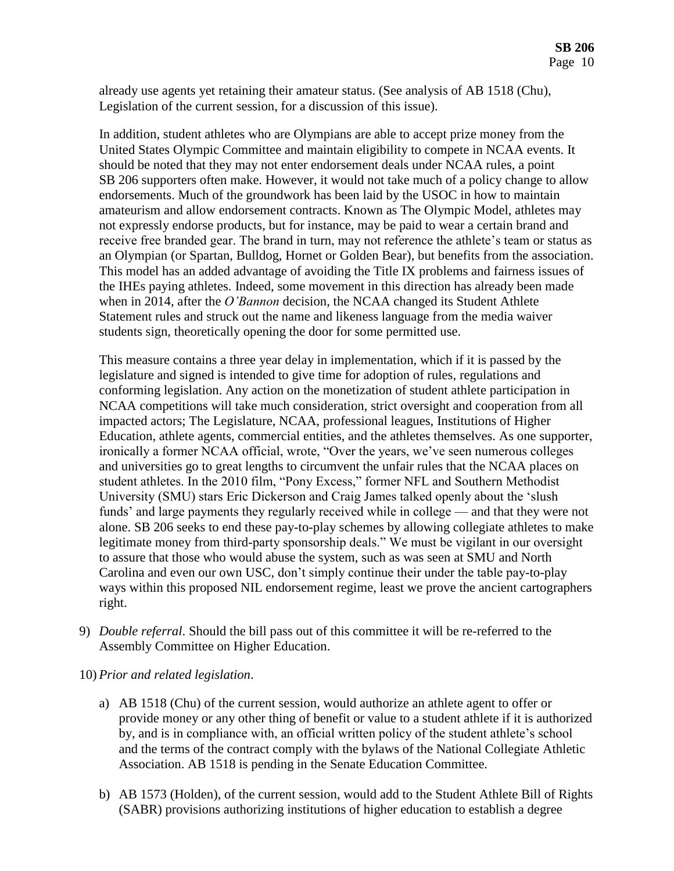already use agents yet retaining their amateur status. (See analysis of AB 1518 (Chu), Legislation of the current session, for a discussion of this issue).

In addition, student athletes who are Olympians are able to accept prize money from the United States Olympic Committee and maintain eligibility to compete in NCAA events. It should be noted that they may not enter endorsement deals under NCAA rules, a point SB 206 supporters often make. However, it would not take much of a policy change to allow endorsements. Much of the groundwork has been laid by the USOC in how to maintain amateurism and allow endorsement contracts. Known as The Olympic Model, athletes may not expressly endorse products, but for instance, may be paid to wear a certain brand and receive free branded gear. The brand in turn, may not reference the athlete's team or status as an Olympian (or Spartan, Bulldog, Hornet or Golden Bear), but benefits from the association. This model has an added advantage of avoiding the Title IX problems and fairness issues of the IHEs paying athletes. Indeed, some movement in this direction has already been made when in 2014, after the *O'Bannon* decision, the NCAA changed its Student Athlete Statement rules and struck out the name and likeness language from the media waiver students sign, theoretically opening the door for some permitted use.

This measure contains a three year delay in implementation, which if it is passed by the legislature and signed is intended to give time for adoption of rules, regulations and conforming legislation. Any action on the monetization of student athlete participation in NCAA competitions will take much consideration, strict oversight and cooperation from all impacted actors; The Legislature, NCAA, professional leagues, Institutions of Higher Education, athlete agents, commercial entities, and the athletes themselves. As one supporter, ironically a former NCAA official, wrote, "Over the years, we've seen numerous colleges and universities go to great lengths to circumvent the unfair rules that the NCAA places on student athletes. In the 2010 film, "Pony Excess," former NFL and Southern Methodist University (SMU) stars Eric Dickerson and Craig James talked openly about the 'slush funds' and large payments they regularly received while in college — and that they were not alone. SB 206 seeks to end these pay-to-play schemes by allowing collegiate athletes to make legitimate money from third-party sponsorship deals." We must be vigilant in our oversight to assure that those who would abuse the system, such as was seen at SMU and North Carolina and even our own USC, don't simply continue their under the table pay-to-play ways within this proposed NIL endorsement regime, least we prove the ancient cartographers right.

- 9) *Double referral*. Should the bill pass out of this committee it will be re-referred to the Assembly Committee on Higher Education.
- 10) *Prior and related legislation*.
	- a) AB 1518 (Chu) of the current session, would authorize an athlete agent to offer or provide money or any other thing of benefit or value to a student athlete if it is authorized by, and is in compliance with, an official written policy of the student athlete's school and the terms of the contract comply with the bylaws of the National Collegiate Athletic Association. AB 1518 is pending in the Senate Education Committee.
	- b) AB 1573 (Holden), of the current session, would add to the Student Athlete Bill of Rights (SABR) provisions authorizing institutions of higher education to establish a degree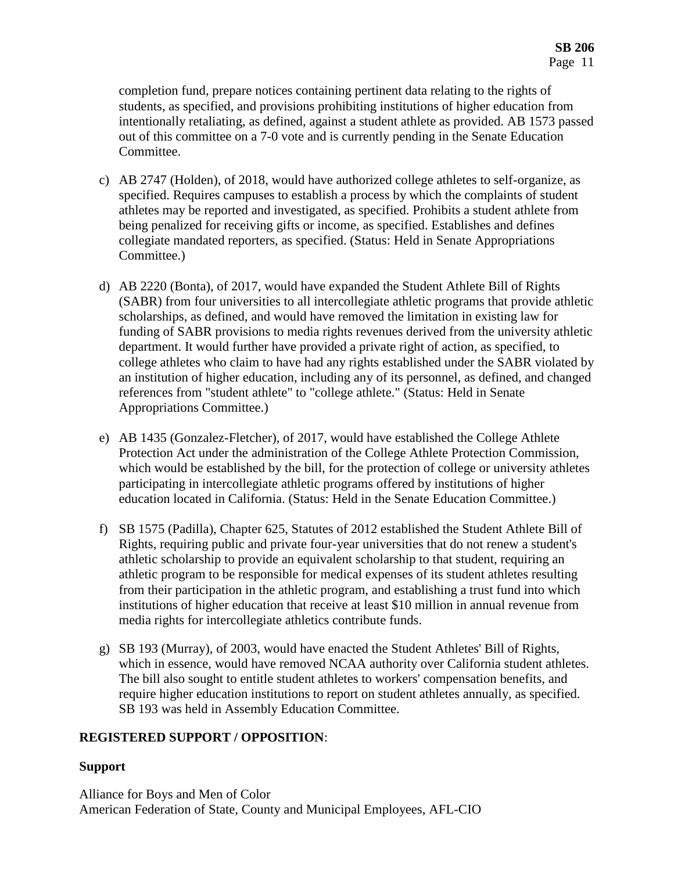completion fund, prepare notices containing pertinent data relating to the rights of students, as specified, and provisions prohibiting institutions of higher education from intentionally retaliating, as defined, against a student athlete as provided. AB 1573 passed out of this committee on a 7-0 vote and is currently pending in the Senate Education Committee.

- c) AB 2747 (Holden), of 2018, would have authorized college athletes to self-organize, as specified. Requires campuses to establish a process by which the complaints of student athletes may be reported and investigated, as specified. Prohibits a student athlete from being penalized for receiving gifts or income, as specified. Establishes and defines collegiate mandated reporters, as specified. (Status: Held in Senate Appropriations Committee.)
- d) AB 2220 (Bonta), of 2017, would have expanded the Student Athlete Bill of Rights (SABR) from four universities to all intercollegiate athletic programs that provide athletic scholarships, as defined, and would have removed the limitation in existing law for funding of SABR provisions to media rights revenues derived from the university athletic department. It would further have provided a private right of action, as specified, to college athletes who claim to have had any rights established under the SABR violated by an institution of higher education, including any of its personnel, as defined, and changed references from "student athlete" to "college athlete." (Status: Held in Senate Appropriations Committee.)
- e) AB 1435 (Gonzalez-Fletcher), of 2017, would have established the College Athlete Protection Act under the administration of the College Athlete Protection Commission, which would be established by the bill, for the protection of college or university athletes participating in intercollegiate athletic programs offered by institutions of higher education located in California. (Status: Held in the Senate Education Committee.)
- f) SB 1575 (Padilla), Chapter 625, Statutes of 2012 established the Student Athlete Bill of Rights, requiring public and private four-year universities that do not renew a student's athletic scholarship to provide an equivalent scholarship to that student, requiring an athletic program to be responsible for medical expenses of its student athletes resulting from their participation in the athletic program, and establishing a trust fund into which institutions of higher education that receive at least \$10 million in annual revenue from media rights for intercollegiate athletics contribute funds.
- g) SB 193 (Murray), of 2003, would have enacted the Student Athletes' Bill of Rights, which in essence, would have removed NCAA authority over California student athletes. The bill also sought to entitle student athletes to workers' compensation benefits, and require higher education institutions to report on student athletes annually, as specified. SB 193 was held in Assembly Education Committee.

## **REGISTERED SUPPORT / OPPOSITION**:

## **Support**

Alliance for Boys and Men of Color American Federation of State, County and Municipal Employees, AFL-CIO